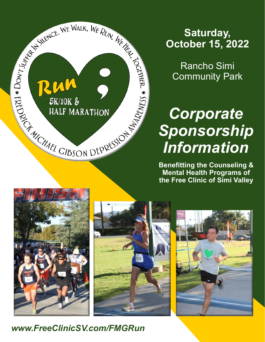

# **Saturday, October 15, 2022**

Rancho Simi Community Park

# *Corporate Sponsorship Information*

**Benefitting the Counseling & Mental Health Programs of the Free Clinic of Simi Valley**







*www.FreeClinicSV.com/FMGRun*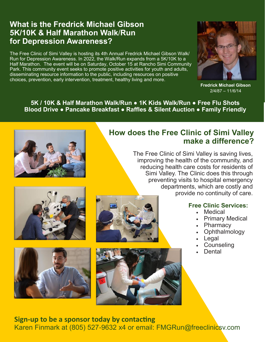## **What is the Fredrick Michael Gibson 5K/10K & Half Marathon Walk**/**Run for Depression Awareness?**

The Free Clinic of Simi Valley is hosting its 4th Annual Fredrick Michael Gibson Walk/ Run for Depression Awareness. In 2022, the Walk/Run expands from a 5K/10K to a Half Marathon. The event will be on Saturday, October 15 at Rancho Simi Community Park. This community event seeks to promote positive activities for youth and adults, disseminating resource information to the public, including resources on positive choices, prevention, early intervention, treatment, healthy living and more.



**Fredrick Michael Gibson** 2/4/87 – 11/6/14

**5K / 10K & Half Marathon Walk/Run ● 1K Kids Walk/Run ● Free Flu Shots Blood Drive ● Pancake Breakfast ● Raffles & Silent Auction ● Family Friendly**



## **How does the Free Clinic of Simi Valley make a difference?**

The Free Clinic of Simi Valley is saving lives, improving the health of the community, and reducing health care costs for residents of Simi Valley. The Clinic does this through preventing visits to hospital emergency departments, which are costly and provide no continuity of care.







#### **Free Clinic Services:**

- Medical
- Primary Medical
- Pharmacy
- Ophthalmology
- **Legal**
- **Counseling**
- Dental

**Sign-up to be a sponsor today by contacting** 

Karen Finmark at (805) 527-9632 x4 or email: FMGRun@freeclinicsv.com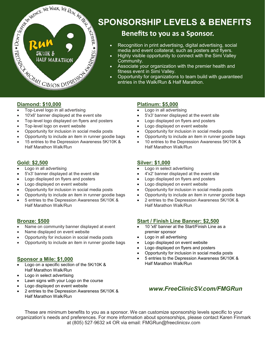

## **SPONSORSHIP LEVELS & BENEFITS**

### **Benefits to you as a Sponsor.**

- Recognition in print advertising, digital advertising, social media and event collateral, such as posters and flyers.
- Highly visible opportunity to connect with the Simi Valley Community.
- Associate your organization with the premier health and fitness event in Simi Valley.
- Opportunity for organizations to team build with guaranteed entries in the Walk/Run & Half Marathon.

#### **Diamond: \$10,000**

- Top-Level logo in all advertising
- 10'x6' banner displayed at the event site
- Top-level logo displayed on flyers and posters
- Top-level logo on event website
- Opportunity for inclusion in social media posts
- Opportunity to include an item in runner goodie bags
- 15 entries to the Depression Awareness 5K/10K & Half Marathon Walk/Run

#### **Gold: \$2,500**

- Logo in all advertising
- 5'x3' banner displayed at the event site
- Logo displayed on flyers and posters
- Logo displayed on event website
- Opportunity for inclusion in social media posts
- Opportunity to include an item in runner goodie bags
- 5 entries to the Depression Awareness 5K/10K & Half Marathon Walk/Run

#### **Bronze: \$500**

- Name on community banner displayed at event
- Name displayed on event website
- Opportunity for inclusion in social media posts
- Opportunity to include an item in runner goodie bags

#### **Sponsor a Mile: \$1,000**

- Logo on a specific section of the 5K/10K & Half Marathon Walk/Run
- Logo in select advertising
- Lawn signs with your Logo on the course
- Logo displayed on event website
- 2 entries to the Depression Awareness 5K/10K & Half Marathon Walk/Run

#### **Platinum: \$5,000**

- Logo in all advertising
- 5'x3' banner displayed at the event site
- Logo displayed on flyers and posters
- Logo displayed on event website
- Opportunity for inclusion in social media posts
- Opportunity to include an item in runner goodie bags
- 10 entries to the Depression Awareness 5K/10K & Half Marathon Walk/Run

#### **Silver: \$1,000**

- Logo in select advertising
- 4'x2' banner displayed at the event site
- Logo displayed on flyers and posters
- Logo displayed on event website
- Opportunity for inclusion in social media posts
- Opportunity to include an item in runner goodie bags
- 2 entries to the Depression Awareness 5K/10K & Half Marathon Walk/Run

#### **Start / Finish Line Banner: \$2,500**

- 10 'x6' banner at the Start/Finish Line as a premier sponsor
- Logo in all advertising
- Logo displayed on event website
- Logo displayed on flyers and posters
- Opportunity for inclusion in social media posts
- 5 entries to the Depression Awareness 5K/10K & Half Marathon Walk/Run

#### *www.FreeClinicSV.com/FMGRun*

These are minimum benefits to you as a sponsor. We can customize sponsorship levels specific to your organization's needs and preferences. For more information about sponsorships, please contact Karen Finmark at (805) 527-9632 x4 OR via email: FMGRun@freeclinicsv.com